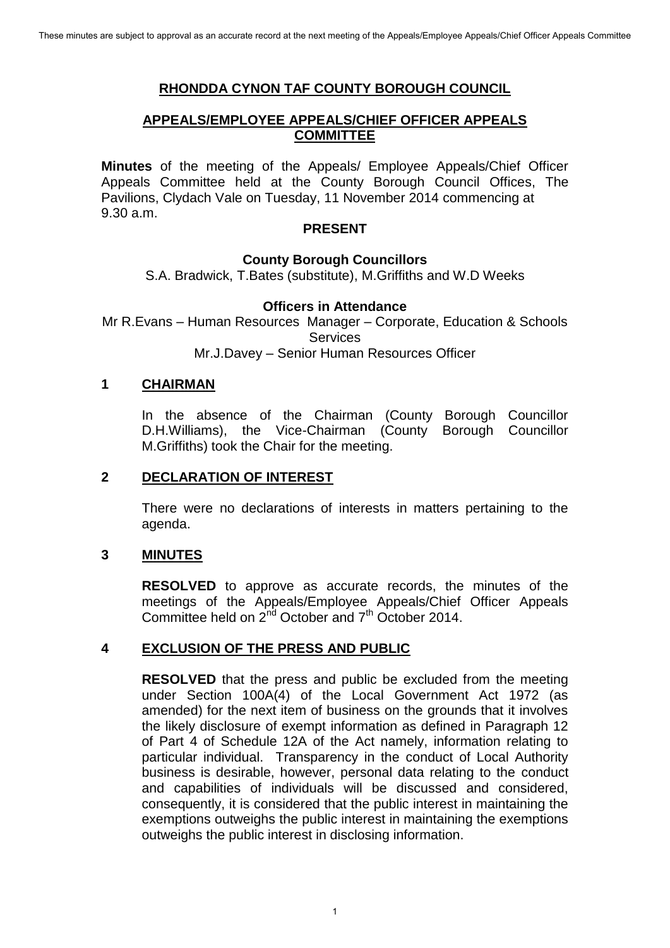# **RHONDDA CYNON TAF COUNTY BOROUGH COUNCIL**

## **APPEALS/EMPLOYEE APPEALS/CHIEF OFFICER APPEALS COMMITTEE**

**Minutes** of the meeting of the Appeals/ Employee Appeals/Chief Officer Appeals Committee held at the County Borough Council Offices, The Pavilions, Clydach Vale on Tuesday, 11 November 2014 commencing at 9.30 a.m.

### **PRESENT**

### **County Borough Councillors**

S.A. Bradwick, T.Bates (substitute), M.Griffiths and W.D Weeks

#### **Officers in Attendance**

Mr R.Evans – Human Resources Manager – Corporate, Education & Schools **Services** 

Mr.J.Davey – Senior Human Resources Officer

#### **1 CHAIRMAN**

In the absence of the Chairman (County Borough Councillor D.H.Williams), the Vice-Chairman (County Borough Councillor M.Griffiths) took the Chair for the meeting.

## **2 DECLARATION OF INTEREST**

 There were no declarations of interests in matters pertaining to the agenda.

### **3 MINUTES**

**RESOLVED** to approve as accurate records, the minutes of the meetings of the Appeals/Employee Appeals/Chief Officer Appeals  $\frac{1}{2}$ Committee held on  $2^{nd}$  October and  $7^{th}$  October 2014.

### **4 EXCLUSION OF THE PRESS AND PUBLIC**

**RESOLVED** that the press and public be excluded from the meeting under Section 100A(4) of the Local Government Act 1972 (as amended) for the next item of business on the grounds that it involves the likely disclosure of exempt information as defined in Paragraph 12 of Part 4 of Schedule 12A of the Act namely, information relating to particular individual. Transparency in the conduct of Local Authority business is desirable, however, personal data relating to the conduct and capabilities of individuals will be discussed and considered, consequently, it is considered that the public interest in maintaining the exemptions outweighs the public interest in maintaining the exemptions outweighs the public interest in disclosing information.